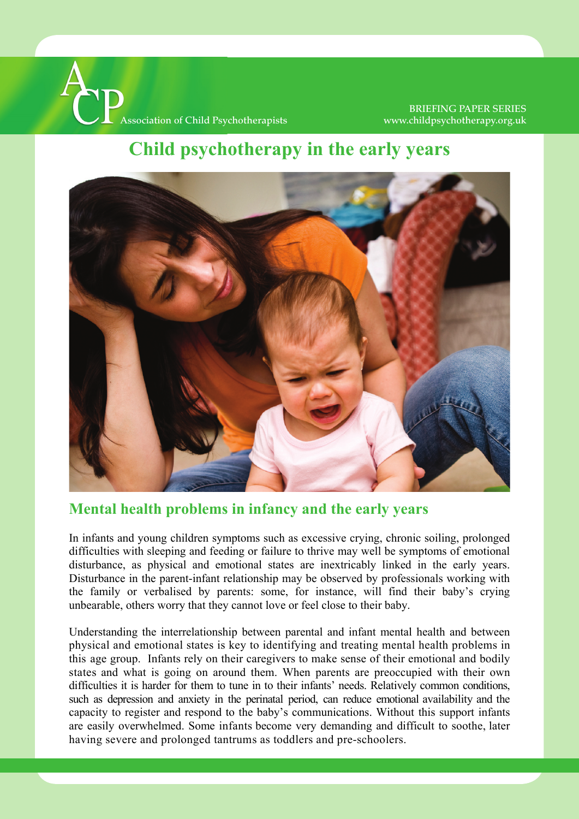

#### BRIEFING PAPER SERIES www.childpsychotherapy.org.uk

# **child** psychotherapy in the early years



### **Mental health problems in infancy and the early years**

In infants and young children symptoms such as excessive crying, chronic soiling, prolonged difficulties with sleeping and feeding or failure to thrive may well be symptoms of emotional disturbance, as physical and emotional states are inextricably linked in the early years. Disturbance in the parent-infant relationship may be observed by professionals working with the family or verbalised by parents: some, for instance, will find their baby's crying unbearable, others worry that they cannot love or feel close to their baby.

Understanding the interrelationship between parental and infant mental health and between physical and emotional states is key to identifying and treating mental health problems in this age group. Infants rely on their caregivers to make sense of their emotional and bodily states and what is going on around them. When parents are preoccupied with their own difficulties it is harder for them to tune in to their infants' needs. Relatively common conditions, such as depression and anxiety in the perinatal period, can reduce emotional availability and the capacity to register and respond to the baby's communications. Without this support infants are easily overwhelmed. Some infants become very demanding and difficult to soothe, later having severe and prolonged tantrums as toddlers and pre-schoolers.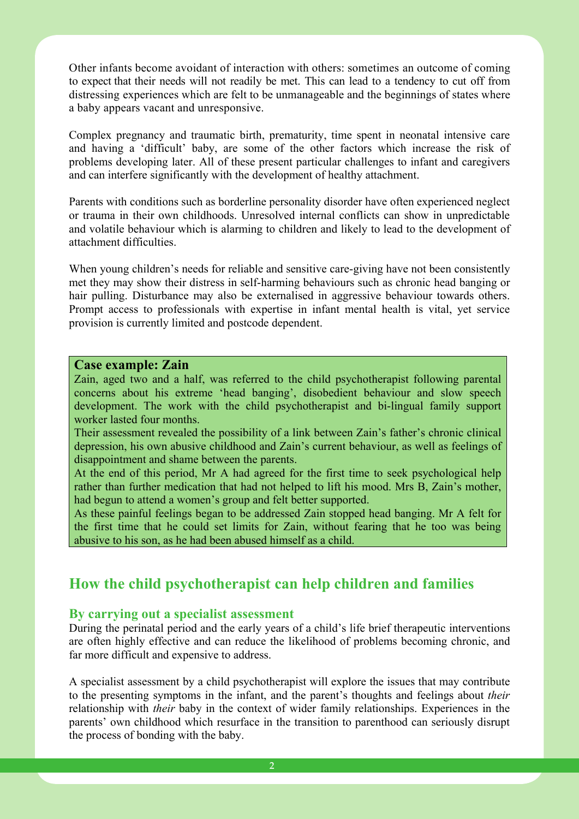Other infants become avoidant of interaction with others: sometimes an outcome of coming to expect that their needs will not readily be met. This can lead to a tendency to cut off from distressing experiences which are felt to be unmanageable and the beginnings of states where a baby appears vacant and unresponsive.

Complex pregnancy and traumatic birth, prematurity, time spent in neonatal intensive care and having a 'difficult' baby, are some of the other factors which increase the risk of problems developing later. All of these present particular challenges to infant and caregivers and can interfere significantly with the development of healthy attachment.

Parents with conditions such as borderline personality disorder have often experienced neglect or trauma in their own childhoods. Unresolved internal conflicts can show in unpredictable and volatile behaviour which is alarming to children and likely to lead to the development of attachment difficulties.

When young children's needs for reliable and sensitive care-giving have not been consistently met they may show their distress in self-harming behaviours such as chronic head banging or hair pulling. Disturbance may also be externalised in aggressive behaviour towards others. Prompt access to professionals with expertise in infant mental health is vital, yet service provision is currently limited and postcode dependent.

#### **Case example: Zain**

Zain, aged two and a half, was referred to the child psychotherapist following parental concerns about his extreme 'head banging', disobedient behaviour and slow speech development. The work with the child psychotherapist and bi-lingual family support worker lasted four months.

Their assessment revealed the possibility of a link between Zain's father's chronic clinical depression, his own abusive childhood and Zain's current behaviour, as well as feelings of disappointment and shame between the parents.

At the end of this period, Mr A had agreed for the first time to seek psychological help rather than further medication that had not helped to lift his mood. Mrs B, Zain's mother, had begun to attend a women's group and felt better supported.

As these painful feelings began to be addressed Zain stopped head banging. Mr A felt for the first time that he could set limits for Zain, without fearing that he too was being abusive to his son, as he had been abused himself as a child.

### **How the child psychotherapist can help children and families**

#### **By carrying out a specialist assessment**

During the perinatal period and the early years of a child's life brief therapeutic interventions are often highly effective and can reduce the likelihood of problems becoming chronic, and far more difficult and expensive to address.

A specialist assessment by a child psychotherapist will explore the issues that may contribute to the presenting symptoms in the infant, and the parent's thoughts and feelings about *their* relationship with *their* baby in the context of wider family relationships. Experiences in the parents' own childhood which resurface in the transition to parenthood can seriously disrupt the process of bonding with the baby.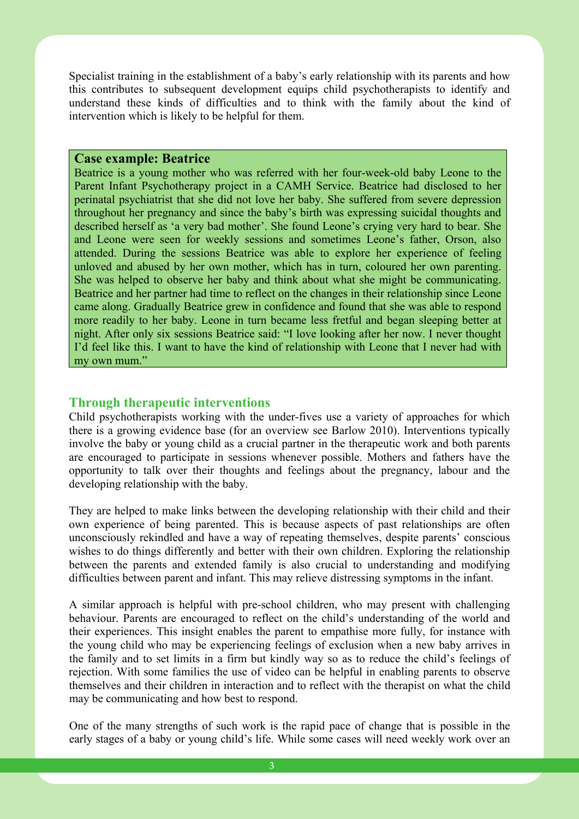Specialist training in the establishment of a baby's early relationship with its parents and how this contributes to subsequent development equips child psychotherapists to identify and understand these kinds of difficulties and to think with the family about the kind of intervention which is likely to be helpful for them.

#### **Case example: Beatrice**

Beatrice is a young mother who was referred with her four-week-old baby Leone to the Parent Infant Psychotherapy project in a CAMH Service. Beatrice had disclosed to her perinatal psychiatrist that she did not love her baby. She suffered from severe depression throughout her pregnancy and since the baby's birth was expressing suicidal thoughts and described herself as 'a very bad mother'. She found Leone's crying very hard to bear. She and Leone were seen for weekly sessions and sometimes Leone's father, Orson, also attended. During the sessions Beatrice was able to explore her experience of feeling unloved and abused by her own mother, which has in turn, coloured her own parenting. She was helped to observe her baby and think about what she might be communicating. Beatrice and her partner had time to reflect on the changes in their relationship since Leone came along. Gradually Beatrice grew in confidence and found that she was able to respond more readily to her baby. Leone in turn became less fretful and began sleeping better at night. After only six sessions Beatrice said: "I love looking after her now. I never thought I'd feel like this. I want to have the kind of relationship with Leone that I never had with my own mum."

#### **Through therapeutic interventions**

Child psychotherapists working with the under-fives use a variety of approaches for which there is a growing evidence base (for an overview see Barlow 2010). Interventions typically involve the baby or young child as a crucial partner in the therapeutic work and both parents are encouraged to participate in sessions whenever possible. Mothers and fathers have the opportunity to talk over their thoughts and feelings about the pregnancy, labour and the developing relationship with the baby.

They are helped to make links between the developing relationship with their child and their own experience of being parented. This is because aspects of past relationships are often unconsciously rekindled and have a way of repeating themselves, despite parents' conscious wishes to do things differently and better with their own children. Exploring the relationship between the parents and extended family is also crucial to understanding and modifying difficulties between parent and infant. This may relieve distressing symptoms in the infant.

A similar approach is helpful with pre-school children, who may present with challenging behaviour. Parents are encouraged to reflect on the child's understanding of the world and their experiences. This insight enables the parent to empathise more fully, for instance with the young child who may be experiencing feelings of exclusion when a new baby arrives in the family and to set limits in a firm but kindly way so as to reduce the child's feelings of rejection. With some families the use of video can be helpful in enabling parents to observe themselves and their children in interaction and to reflect with the therapist on what the child may be communicating and how best to respond.

One of the many strengths of such work is the rapid pace of change that is possible in the early stages of a baby or young child's life. While some cases will need weekly work over an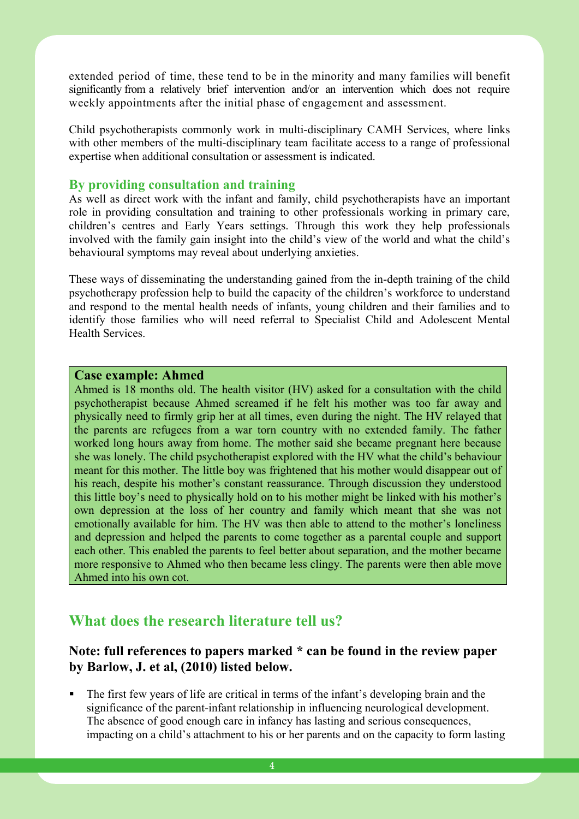significantly from a relatively brief intervention and/or an intervention which does not require weekly appointments after the initial phase of engagement and assessment. extended period of time, these tend to be in the minority and many families will benefit

Child psychotherapists commonly work in multi-disciplinary CAMH Services, where links with other members of the multi-disciplinary team facilitate access to a range of professional expertise when additional consultation or assessment is indicated.

#### **By providing consultation and training**

As well as direct work with the infant and family, child psychotherapists have an important role in providing consultation and training to other professionals working in primary care, children's centres and Early Years settings. Through this work they help professionals involved with the family gain insight into the child's view of the world and what the child's behavioural symptoms may reveal about underlying anxieties.

These ways of disseminating the understanding gained from the in-depth training of the child psychotherapy profession help to build the capacity of the children's workforce to understand and respond to the mental health needs of infants, young children and their families and to identify those families who will need referral to Specialist Child and Adolescent Mental Health Services.

#### **Case example: Ahmed**

Ahmed is 18 months old. The health visitor (HV) asked for a consultation with the child psychotherapist because Ahmed screamed if he felt his mother was too far away and physically need to firmly grip her at all times, even during the night. The HV relayed that the parents are refugees from a war torn country with no extended family. The father worked long hours away from home. The mother said she became pregnant here because she was lonely. The child psychotherapist explored with the HV what the child's behaviour meant for this mother. The little boy was frightened that his mother would disappear out of his reach, despite his mother's constant reassurance. Through discussion they understood this little boy's need to physically hold on to his mother might be linked with his mother's own depression at the loss of her country and family which meant that she was not emotionally available for him. The HV was then able to attend to the mother's loneliness and depression and helped the parents to come together as a parental couple and support each other. This enabled the parents to feel better about separation, and the mother became more responsive to Ahmed who then became less clingy. The parents were then able move Ahmed into his own cot.

### **What does the research literature tell us?**

#### **Note: full references to papers marked \* can be found in the review paper by Barlow, J. et al, (2010) listed below.**

 The first few years of life are critical in terms of the infant's developing brain and the significance of the parent-infant relationship in influencing neurological development. The absence of good enough care in infancy has lasting and serious consequences, impacting on a child's attachment to his or her parents and on the capacity to form lasting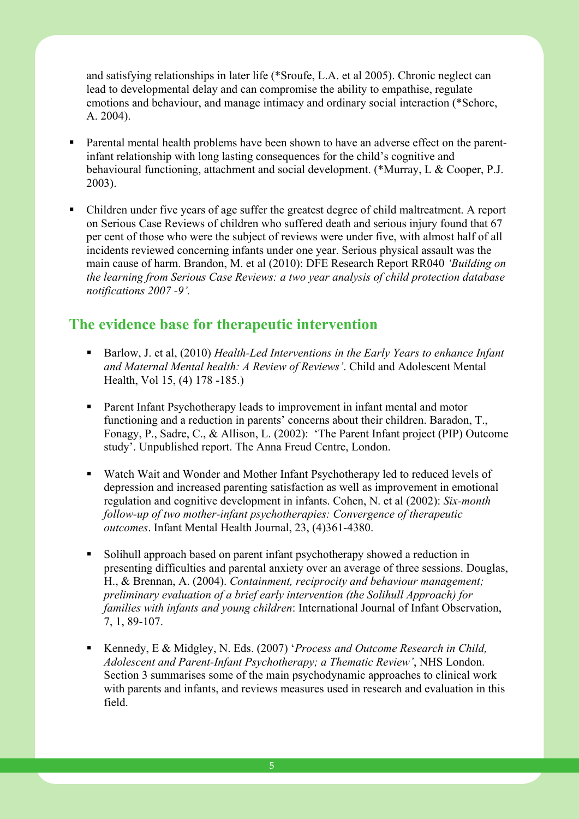and satisfying relationships in later life (\*Sroufe, L.A. et al 2005). Chronic neglect can lead to developmental delay and can compromise the ability to empathise, regulate emotions and behaviour, and manage intimacy and ordinary social interaction (\*Schore, A. 2004).

- Parental mental health problems have been shown to have an adverse effect on the parentinfant relationship with long lasting consequences for the child's cognitive and behavioural functioning, attachment and social development. (\*Murray, L & Cooper, P.J. 2003).
- Children under five years of age suffer the greatest degree of child maltreatment. A report on Serious Case Reviews of children who suffered death and serious injury found that 67 per cent of those who were the subject of reviews were under five, with almost half of all incidents reviewed concerning infants under one year. Serious physical assault was the main cause of harm. Brandon, M. et al (2010): DFE Research Report RR040 *'Building on the learning from Serious Case Reviews: a two year analysis of child protection database notifications 2007 -9'.*

### **The evidence base for therapeutic intervention**

- Barlow, J. et al, (2010) *Health-Led Interventions in the Early Years to enhance Infant and Maternal Mental health: A Review of Reviews'*. Child and Adolescent Mental Health, Vol 15, (4) 178 -185.)
- **Parent Infant Psychotherapy leads to improvement in infant mental and motor** functioning and a reduction in parents' concerns about their children. Baradon, T., Fonagy, P., Sadre, C., & Allison, L. (2002): 'The Parent Infant project (PIP) Outcome study'. Unpublished report. The Anna Freud Centre, London.
- Watch Wait and Wonder and Mother Infant Psychotherapy led to reduced levels of depression and increased parenting satisfaction as well as improvement in emotional regulation and cognitive development in infants. Cohen, N. et al (2002): *Six-month follow-up of two mother-infant psychotherapies: Convergence of therapeutic outcomes*. Infant Mental Health Journal, 23, (4)361-4380.
- Solihull approach based on parent infant psychotherapy showed a reduction in presenting difficulties and parental anxiety over an average of three sessions. Douglas, H., & Brennan, A. (2004). *Containment, reciprocity and behaviour management; preliminary evaluation of a brief early intervention (the Solihull Approach) for families with infants and young children*: International Journal of Infant Observation, 7, 1, 89-107.
- Kennedy, E & Midgley, N. Eds. (2007) '*Process and Outcome Research in Child*, *Adolescent and Parent-Infant Psychotherapy; a Thematic Review'*, NHS London. Section 3 summarises some of the main psychodynamic approaches to clinical work with parents and infants, and reviews measures used in research and evaluation in this field.